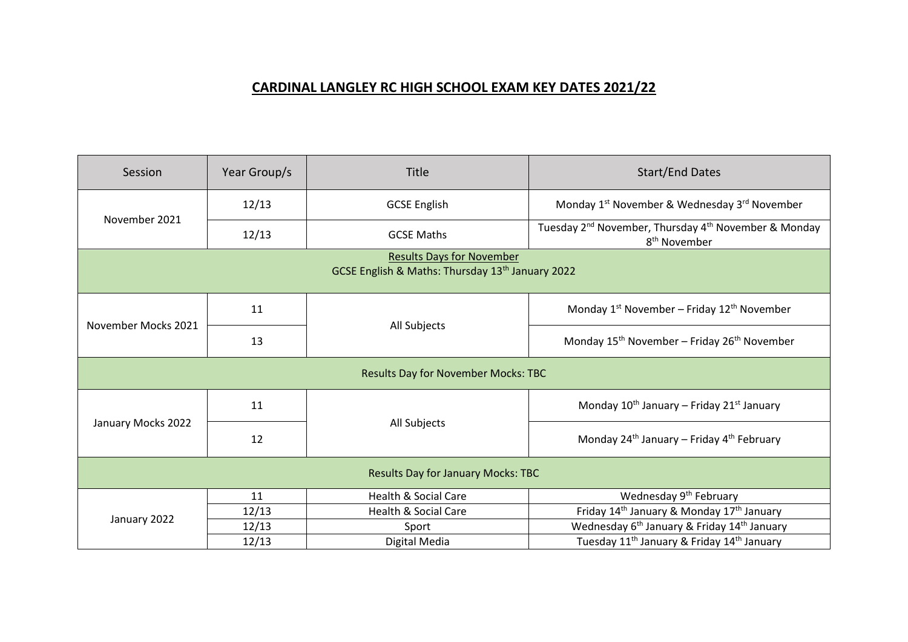## **CARDINAL LANGLEY RC HIGH SCHOOL EXAM KEY DATES 2021/22**

| Session                                                                                          | Year Group/s | <b>Title</b>                    | <b>Start/End Dates</b>                                                                                   |  |
|--------------------------------------------------------------------------------------------------|--------------|---------------------------------|----------------------------------------------------------------------------------------------------------|--|
| November 2021                                                                                    | 12/13        | <b>GCSE English</b>             | Monday 1 <sup>st</sup> November & Wednesday 3 <sup>rd</sup> November                                     |  |
|                                                                                                  | 12/13        | <b>GCSE Maths</b>               | Tuesday 2 <sup>nd</sup> November, Thursday 4 <sup>th</sup> November & Monday<br>8 <sup>th</sup> November |  |
| <b>Results Days for November</b><br>GCSE English & Maths: Thursday 13 <sup>th</sup> January 2022 |              |                                 |                                                                                                          |  |
| November Mocks 2021                                                                              | 11           | All Subjects                    | Monday $1^{st}$ November – Friday $12^{th}$ November                                                     |  |
|                                                                                                  | 13           |                                 | Monday 15 <sup>th</sup> November – Friday 26 <sup>th</sup> November                                      |  |
| <b>Results Day for November Mocks: TBC</b>                                                       |              |                                 |                                                                                                          |  |
| January Mocks 2022                                                                               | 11           | All Subjects                    | Monday $10^{th}$ January – Friday 21st January                                                           |  |
|                                                                                                  | 12           |                                 | Monday $24^{th}$ January – Friday $4^{th}$ February                                                      |  |
| <b>Results Day for January Mocks: TBC</b>                                                        |              |                                 |                                                                                                          |  |
| January 2022                                                                                     | 11           | <b>Health &amp; Social Care</b> | Wednesday 9 <sup>th</sup> February                                                                       |  |
|                                                                                                  | 12/13        | <b>Health &amp; Social Care</b> | Friday 14 <sup>th</sup> January & Monday 17 <sup>th</sup> January                                        |  |
|                                                                                                  | 12/13        | Sport                           | Wednesday 6 <sup>th</sup> January & Friday 14 <sup>th</sup> January                                      |  |
|                                                                                                  | 12/13        | Digital Media                   | Tuesday 11 <sup>th</sup> January & Friday 14 <sup>th</sup> January                                       |  |